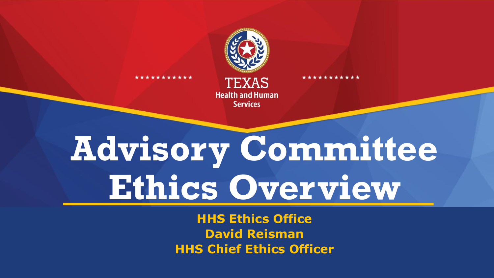

\*\*\*\*\*\*\*\*

\*\*\*\*\*\*\*\*\*\*\*

**TEXAS Health and Human Services** 

# **Advisory Committee Ethics Overview**

**HHS Ethics Office David Reisman HHS Chief Ethics Officer**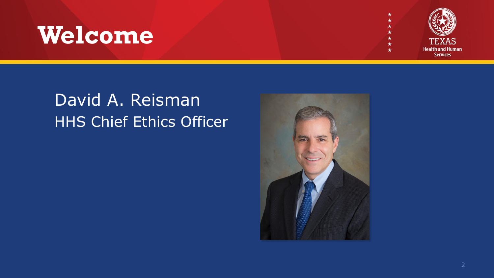#### **Welcome**



#### David A. Reisman HHS Chief Ethics Officer

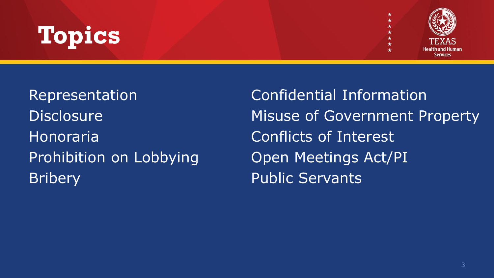## **Topics**



Honoraria Conflicts of Interest Prohibition on Lobbying Open Meetings Act/PI Bribery **Public Servants** 

Representation Confidential Information Disclosure Misuse of Government Property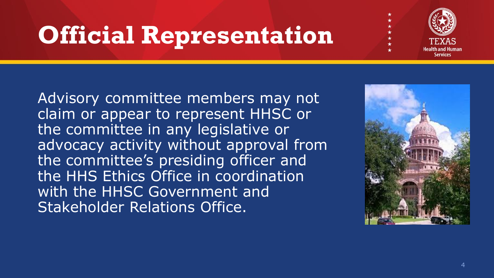## **Official Representation**



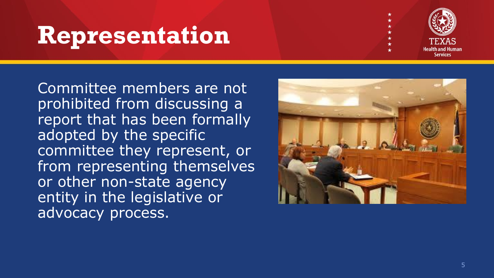#### **Representation**



Committee members are not prohibited from discussing a report that has been formally adopted by the specific committee they represent, or from representing themselves or other non -state agency entity in the legislative or advocacy process.

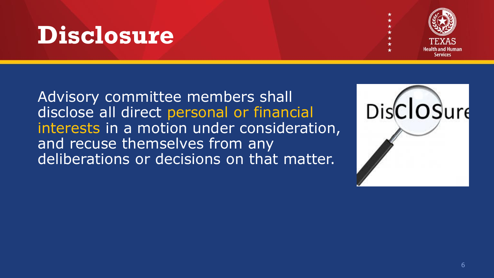#### **Disclosure**



Advisory committee members shall disclose all direct personal or financial interests in a motion under consideration, and recuse themselves from any deliberations or decisions on that matter.

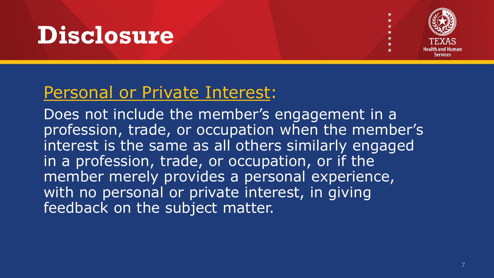#### **Disclosure**



#### Personal or Private Interest:

Does not include the member's engagement in a profession, trade, or occupation when the member's interest is the same as all others similarly engaged in a profession, trade, or occupation, or if the member merely provides a personal experience, with no personal or private interest, in giving feedback on the subject matter.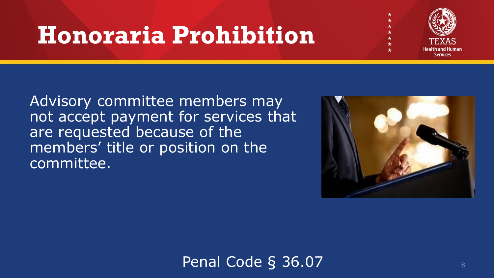#### **Honoraria Prohibition**



Advisory committee members may not accept payment for services that are requested because of the members' title or position on the committee.



Penal Code § 36.07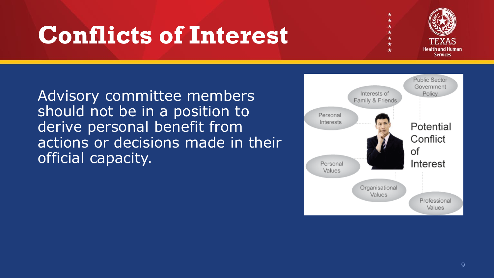### **Conflicts of Interest**



Advisory committee members should not be in a position to derive personal benefit from actions or decisions made in their official capacity.

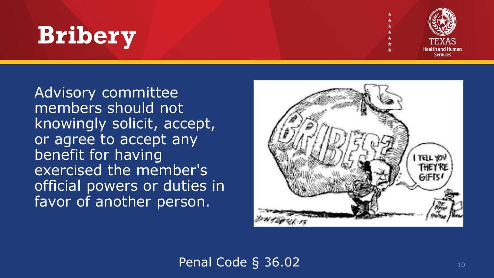### **Bribery**



Advisory committee members should not knowingly solicit, accept, or agree to accept any benefit for having exercised the member's official powers or duties in favor of another person.



Penal Code § 36.02 10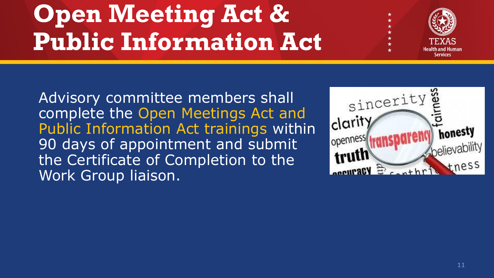# **Open Meeting Act & Public Information Act**



Advisory committee members shall complete the Open Meetings Act and Public Information Act trainings within 90 days of appointment and submit the Certificate of Completion to the Work Group liaison.

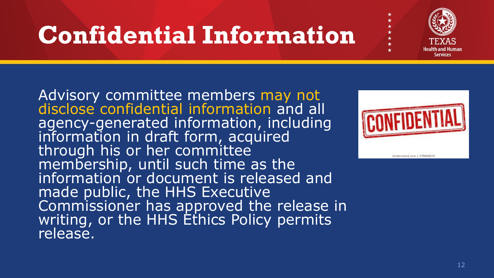### **Confidential Information**

Advisory committee members may not disclose confidential information and all agency-generated information, including information in draft form, acquired through his or her committee membership, until such time as the information or document is released and made public, the HHS Executive Commissioner has approved the release in writing, or the HHS Ethics Policy permits release.



Service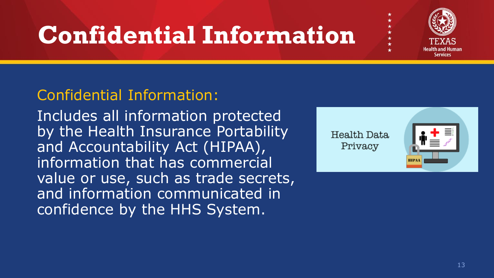## **Confidential Information**

#### Confidential Information:

Includes all information protected by the Health Insurance Portability and Accountability Act (HIPAA), information that has commercial value or use, such as trade secrets, and information communicated in confidence by the HHS System.

Health Data Privacy



Service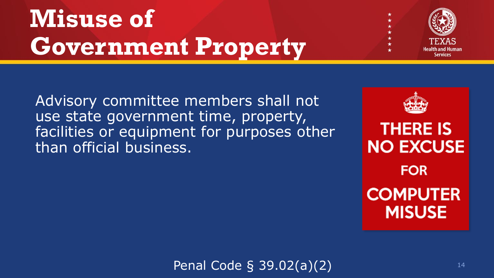# **Misuse of Government Property**



Advisory committee members shall not use state government time, property, facilities or equipment for purposes other than official business.



Penal Code § 39.02(a)(2)  $14$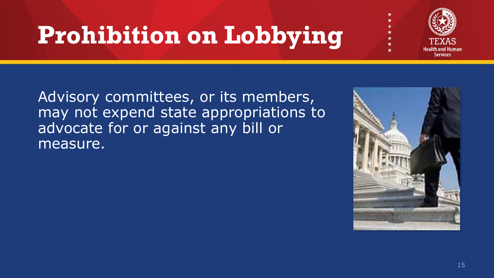## **Prohibition on Lobbying**



Advisory committees, or its members, may not expend state appropriations to advocate for or against any bill or measure.

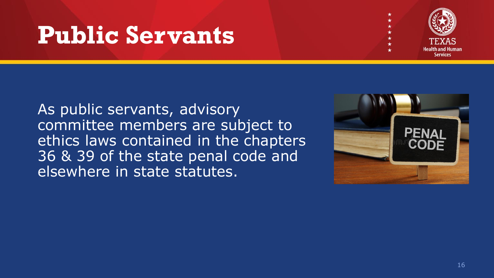#### **Public Servants**



As public servants, advisory committee members are subject to ethics laws contained in the chapters 36 & 39 of the state penal code and elsewhere in state statutes.

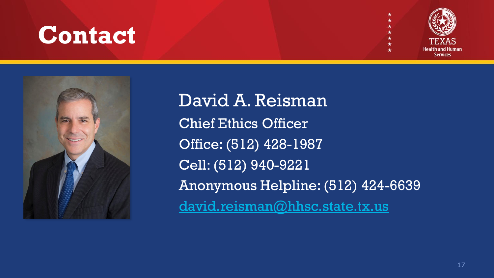#### **Contact**





David A. Reisman Chief Ethics Officer Office: (512) 428-1987 Cell: (512) 940-9221 Anonymous Helpline: (512) 424-6639 [david.reisman@hhsc.state.tx.us](mailto:david.reisman@hhsc.state.tx.us)